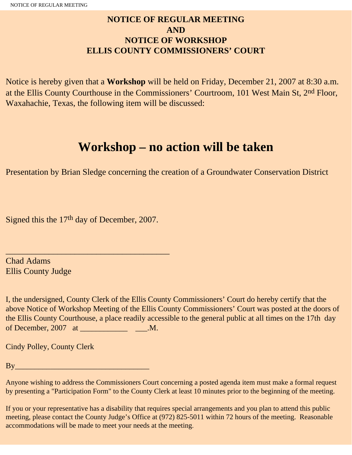# **NOTICE OF REGULAR MEETING AND NOTICE OF WORKSHOP ELLIS COUNTY COMMISSIONERS' COURT**

Notice is hereby given that a **Workshop** will be held on Friday, December 21, 2007 at 8:30 a.m. at the Ellis County Courthouse in the Commissioners' Courtroom, 101 West Main St, 2nd Floor, Waxahachie, Texas, the following item will be discussed:

# **Workshop – no action will be taken**

Presentation by Brian Sledge concerning the creation of a Groundwater Conservation District

Signed this the 17th day of December, 2007.

\_\_\_\_\_\_\_\_\_\_\_\_\_\_\_\_\_\_\_\_\_\_\_\_\_\_\_\_\_\_\_\_\_\_\_\_\_\_

Chad Adams Ellis County Judge

I, the undersigned, County Clerk of the Ellis County Commissioners' Court do hereby certify that the above Notice of Workshop Meeting of the Ellis County Commissioners' Court was posted at the doors of the Ellis County Courthouse, a place readily accessible to the general public at all times on the 17th day of December, 2007 at \_\_\_\_\_\_\_\_\_\_\_\_\_\_\_\_\_\_\_\_\_\_\_\_.M.

Cindy Polley, County Clerk

By\_\_\_\_\_\_\_\_\_\_\_\_\_\_\_\_\_\_\_\_\_\_\_\_\_\_\_\_\_\_\_\_\_\_

Anyone wishing to address the Commissioners Court concerning a posted agenda item must make a formal request by presenting a "Participation Form" to the County Clerk at least 10 minutes prior to the beginning of the meeting.

If you or your representative has a disability that requires special arrangements and you plan to attend this public meeting, please contact the County Judge's Office at (972) 825-5011 within 72 hours of the meeting. Reasonable accommodations will be made to meet your needs at the meeting.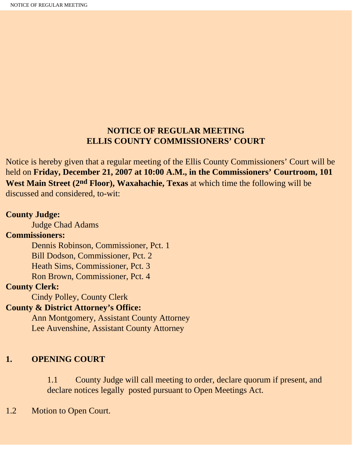## **NOTICE OF REGULAR MEETING ELLIS COUNTY COMMISSIONERS' COURT**

Notice is hereby given that a regular meeting of the Ellis County Commissioners' Court will be held on **Friday, December 21, 2007 at 10:00 A.M., in the Commissioners' Courtroom, 101 West Main Street (2nd Floor), Waxahachie, Texas** at which time the following will be discussed and considered, to-wit:

#### **County Judge:**

Judge Chad Adams

#### **Commissioners:**

 Dennis Robinson, Commissioner, Pct. 1 Bill Dodson, Commissioner, Pct. 2 Heath Sims, Commissioner, Pct. 3 Ron Brown, Commissioner, Pct. 4

#### **County Clerk:**

Cindy Polley, County Clerk

#### **County & District Attorney's Office:**

 Ann Montgomery, Assistant County Attorney Lee Auvenshine, Assistant County Attorney

## **1. OPENING COURT**

1.1 County Judge will call meeting to order, declare quorum if present, and declare notices legally posted pursuant to Open Meetings Act.

#### 1.2 Motion to Open Court.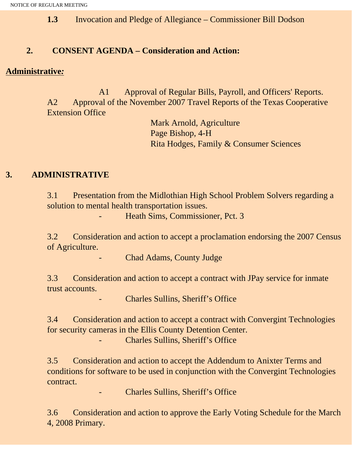**1.3** Invocation and Pledge of Allegiance – Commissioner Bill Dodson

## **2. CONSENT AGENDA – Consideration and Action:**

#### **Administrative***:*

 A1 Approval of Regular Bills, Payroll, and Officers' Reports. A2 Approval of the November 2007 Travel Reports of the Texas Cooperative Extension Office

> Mark Arnold, Agriculture Page Bishop, 4-H Rita Hodges, Family & Consumer Sciences

## **3. ADMINISTRATIVE**

3.1 Presentation from the Midlothian High School Problem Solvers regarding a solution to mental health transportation issues.

- Heath Sims, Commissioner, Pct. 3

3.2 Consideration and action to accept a proclamation endorsing the 2007 Census of Agriculture.

Chad Adams, County Judge

3.3 Consideration and action to accept a contract with JPay service for inmate trust accounts.

Charles Sullins, Sheriff's Office

3.4 Consideration and action to accept a contract with Convergint Technologies for security cameras in the Ellis County Detention Center. Charles Sullins, Sheriff's Office

3.5 Consideration and action to accept the Addendum to Anixter Terms and conditions for software to be used in conjunction with the Convergint Technologies contract.

- Charles Sullins, Sheriff's Office

3.6 Consideration and action to approve the Early Voting Schedule for the March 4, 2008 Primary.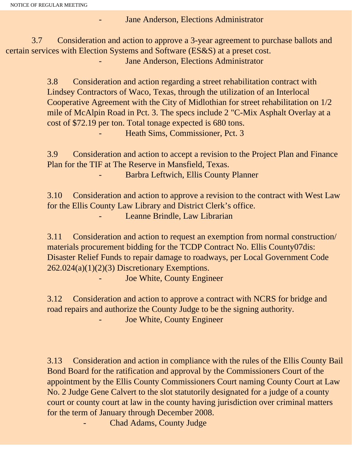Jane Anderson, Elections Administrator

 3.7 Consideration and action to approve a 3-year agreement to purchase ballots and certain services with Election Systems and Software (ES&S) at a preset cost. Jane Anderson, Elections Administrator

> 3.8 Consideration and action regarding a street rehabilitation contract with Lindsey Contractors of Waco, Texas, through the utilization of an Interlocal Cooperative Agreement with the City of Midlothian for street rehabilitation on 1/2 mile of McAlpin Road in Pct. 3. The specs include 2 "C-Mix Asphalt Overlay at a cost of \$72.19 per ton. Total tonage expected is 680 tons. - Heath Sims, Commissioner, Pct. 3

3.9 Consideration and action to accept a revision to the Project Plan and Finance Plan for the TIF at The Reserve in Mansfield, Texas.

- Barbra Leftwich, Ellis County Planner

3.10 Consideration and action to approve a revision to the contract with West Law for the Ellis County Law Library and District Clerk's office. Leanne Brindle, Law Librarian

3.11 Consideration and action to request an exemption from normal construction/ materials procurement bidding for the TCDP Contract No. Ellis County07dis: Disaster Relief Funds to repair damage to roadways, per Local Government Code 262.024(a)(1)(2)(3) Discretionary Exemptions.

Joe White, County Engineer

3.12 Consideration and action to approve a contract with NCRS for bridge and road repairs and authorize the County Judge to be the signing authority. Joe White, County Engineer

3.13 Consideration and action in compliance with the rules of the Ellis County Bail Bond Board for the ratification and approval by the Commissioners Court of the appointment by the Ellis County Commissioners Court naming County Court at Law No. 2 Judge Gene Calvert to the slot statutorily designated for a judge of a county court or county court at law in the county having jurisdiction over criminal matters for the term of January through December 2008.

Chad Adams, County Judge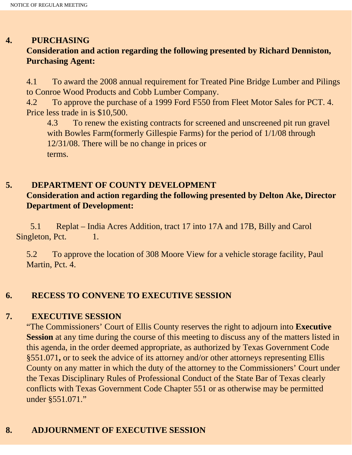## **4. PURCHASING**

# **Consideration and action regarding the following presented by Richard Denniston, Purchasing Agent:**

4.1 To award the 2008 annual requirement for Treated Pine Bridge Lumber and Pilings to Conroe Wood Products and Cobb Lumber Company.

4.2 To approve the purchase of a 1999 Ford F550 from Fleet Motor Sales for PCT. 4. Price less trade in is \$10,500.

4.3 To renew the existing contracts for screened and unscreened pit run gravel with Bowles Farm(formerly Gillespie Farms) for the period of  $1/1/08$  through 12/31/08. There will be no change in prices or terms.

# **5. DEPARTMENT OF COUNTY DEVELOPMENT**

# **Consideration and action regarding the following presented by Delton Ake, Director Department of Development:**

 5.1 Replat – India Acres Addition, tract 17 into 17A and 17B, Billy and Carol Singleton, Pct. 1.

5.2 To approve the location of 308 Moore View for a vehicle storage facility, Paul Martin, Pct. 4.

## **6. RECESS TO CONVENE TO EXECUTIVE SESSION**

## **7. EXECUTIVE SESSION**

"The Commissioners' Court of Ellis County reserves the right to adjourn into **Executive Session** at any time during the course of this meeting to discuss any of the matters listed in this agenda, in the order deemed appropriate, as authorized by Texas Government Code §551.071**,** or to seek the advice of its attorney and/or other attorneys representing Ellis County on any matter in which the duty of the attorney to the Commissioners' Court under the Texas Disciplinary Rules of Professional Conduct of the State Bar of Texas clearly conflicts with Texas Government Code Chapter 551 or as otherwise may be permitted under §551.071."

# **8. ADJOURNMENT OF EXECUTIVE SESSION**